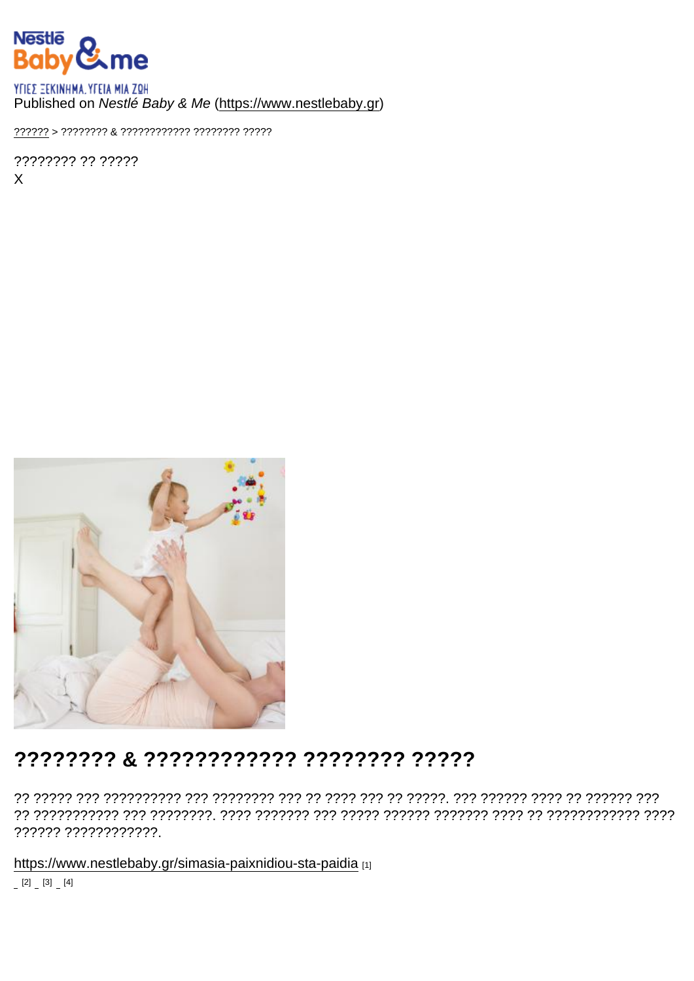## Published on Nestlé Baby & Me (https://www.nestlebaby.gr)

???????? ?? ?????  $\mathsf{X}$ 

## ???????? & ???????????? ??????? ??????

?????? ????????????.

https://www.nestlebaby.gr/simasia-paixnidiou-sta-paidia [1]

 $[2]$   $[3]$   $[4]$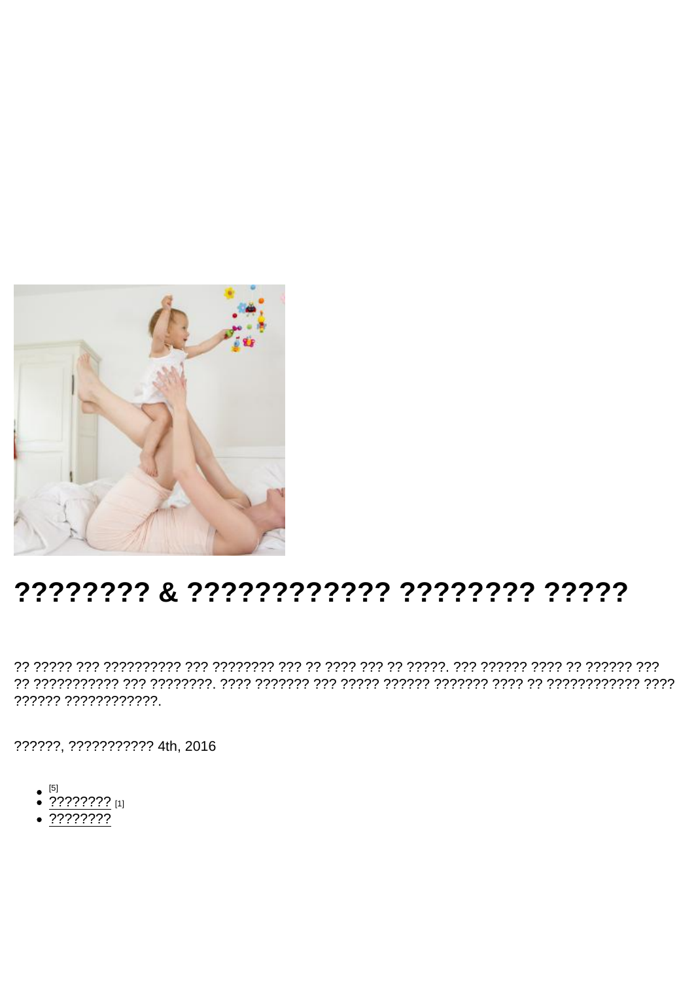## ???????? & ???????????? ???????? ?????

?????? ????????????.

??????, ??????????? 4th, 2016

- 
- $^{[5]}$ <br>• ???????? [1]
- $.77777777$